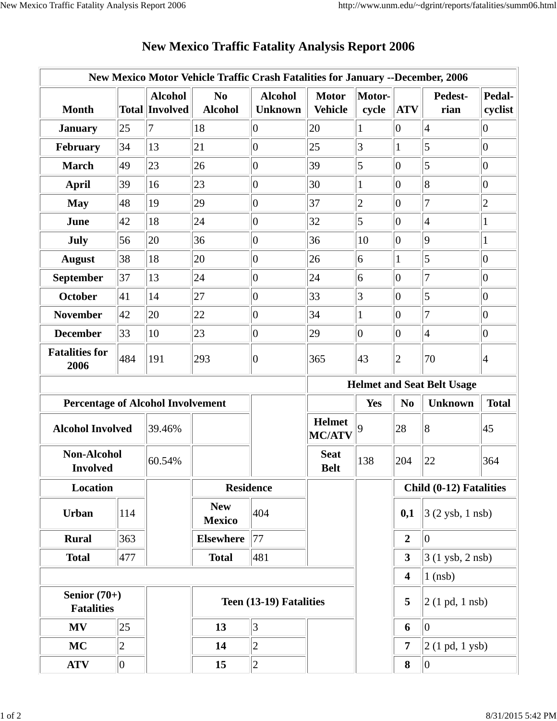| New Mexico Motor Vehicle Traffic Crash Fatalities for January --December, 2006 |            |                                         |                                  |                                   |                                |                 |                         |                                    |                   |  |
|--------------------------------------------------------------------------------|------------|-----------------------------------------|----------------------------------|-----------------------------------|--------------------------------|-----------------|-------------------------|------------------------------------|-------------------|--|
| <b>Month</b>                                                                   |            | <b>Alcohol</b><br><b>Total Involved</b> | N <sub>0</sub><br><b>Alcohol</b> | <b>Alcohol</b><br><b>Unknown</b>  | <b>Motor</b><br><b>Vehicle</b> | Motor-<br>cycle | <b>ATV</b>              | Pedest-<br>rian                    | Pedal-<br>cyclist |  |
| <b>January</b>                                                                 | 25         | 7                                       | 18                               | 0                                 | 20                             |                 | $ 0\rangle$             | 4                                  | 0                 |  |
| February                                                                       | 34         | 13                                      | 21                               | $ 0\rangle$                       | 25                             | 3               | $\mathbf{1}$            | 5                                  | $ 0\rangle$       |  |
| <b>March</b>                                                                   | 49         | 23                                      | 26                               | $ 0\rangle$                       | 39                             | 5               | $ 0\rangle$             | 5                                  | $ 0\rangle$       |  |
| <b>April</b>                                                                   | 39         | 16                                      | 23                               | $ 0\rangle$                       | 30                             | $\mathbf{1}$    | $ 0\rangle$             | 8                                  | $ 0\rangle$       |  |
| <b>May</b>                                                                     | 48         | 19                                      | 29                               | $ 0\rangle$                       | 37                             | $\overline{c}$  | $ 0\rangle$             | $\overline{7}$                     | $\overline{2}$    |  |
| June                                                                           | 42         | 18                                      | 24                               | $ 0\rangle$                       | 32                             | 5               | $ 0\rangle$             | 4                                  | $\mathbf{1}$      |  |
| July                                                                           | 56         | 20                                      | 36                               | $ 0\rangle$                       | 36                             | 10              | $ 0\rangle$             | $ 9\rangle$                        | $\mathbf{1}$      |  |
| <b>August</b>                                                                  | 38         | 18                                      | 20                               | $ 0\rangle$                       | 26                             | 6               |                         | 5                                  | $ 0\rangle$       |  |
| September                                                                      | 37         | 13                                      | 24                               | $ 0\rangle$                       | 24                             | 6               | $ 0\rangle$             | 7                                  | $ 0\rangle$       |  |
| <b>October</b>                                                                 | 41         | 14                                      | 27                               | $ 0\rangle$                       | 33                             | $\vert 3 \vert$ | $ 0\rangle$             | 5                                  | $ 0\rangle$       |  |
| <b>November</b>                                                                | 42         | 20                                      | 22                               | $ 0\rangle$                       | 34                             | $\mathbf{1}$    | $ 0\rangle$             | $\overline{7}$                     | $ 0\rangle$       |  |
| <b>December</b>                                                                | 33         | 10                                      | 23                               | $ 0\rangle$                       | 29                             | $ 0\rangle$     | $ 0\rangle$             | 4                                  | $ 0\rangle$       |  |
| <b>Fatalities for</b><br>2006                                                  | 484        | 191                                     | 293                              | $ 0\rangle$                       | 365                            | 43              | 2                       | 70                                 | 4                 |  |
|                                                                                |            |                                         |                                  | <b>Helmet and Seat Belt Usage</b> |                                |                 |                         |                                    |                   |  |
| <b>Percentage of Alcohol Involvement</b>                                       |            |                                         |                                  |                                   |                                | <b>Yes</b>      | N <sub>0</sub>          | <b>Unknown</b>                     | <b>Total</b>      |  |
| <b>Alcohol Involved</b>                                                        |            | 39.46%                                  |                                  |                                   | <b>Helmet</b><br><b>MC/ATV</b> | 9               | 28                      | 8                                  | 45                |  |
| <b>Non-Alcohol</b><br><b>Involved</b>                                          |            | 60.54%                                  |                                  |                                   | <b>Seat</b><br><b>Belt</b>     | 138             | 204                     | 22                                 | 364               |  |
| <b>Location</b>                                                                |            |                                         | <b>Residence</b>                 |                                   |                                |                 | Child (0-12) Fatalities |                                    |                   |  |
|                                                                                |            |                                         |                                  |                                   |                                |                 |                         |                                    |                   |  |
| <b>Urban</b>                                                                   | 114        |                                         | <b>New</b><br><b>Mexico</b>      | 404                               |                                |                 | 0,1                     | $3(2 \text{ ysb}, 1 \text{ nsb})$  |                   |  |
| <b>Rural</b>                                                                   | 363        |                                         | <b>Elsewhere</b>                 | 77                                |                                |                 | $\boldsymbol{2}$        | $ 0\rangle$                        |                   |  |
| <b>Total</b>                                                                   | 477        |                                         | <b>Total</b>                     | 481                               |                                |                 | $\mathbf{3}$            | $3(1 \text{ ysb}, 2 \text{ nsb})$  |                   |  |
|                                                                                |            |                                         |                                  |                                   |                                |                 | $\overline{\mathbf{4}}$ | $1$ (nsb)                          |                   |  |
| Senior $(70+)$<br><b>Fatalities</b>                                            |            |                                         |                                  | Teen (13-19) Fatalities           |                                |                 | 5                       | $2(1 \text{ pd}, 1 \text{ nsb})$   |                   |  |
| <b>MV</b>                                                                      | 25         |                                         | 13                               | 3                                 |                                |                 | 6                       | 0                                  |                   |  |
| <b>MC</b>                                                                      | $\sqrt{2}$ |                                         | 14                               | $ 2\rangle$                       |                                |                 | 7                       | $ 2(1 \text{ pd}, 1 \text{ ysb}) $ |                   |  |

## **New Mexico Traffic Fatality Analysis Report 2006**